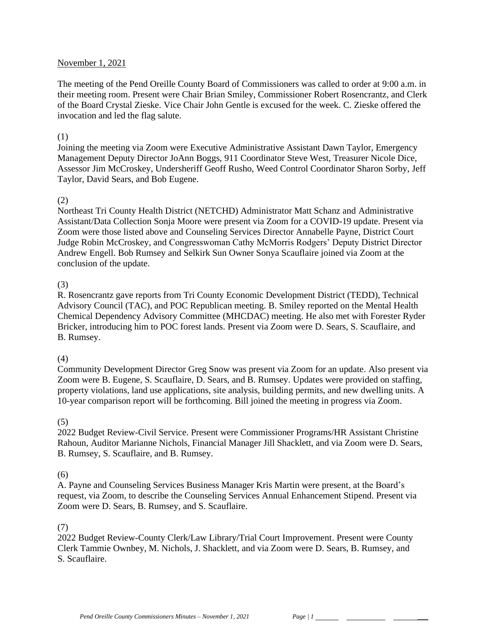## November 1, 2021

The meeting of the Pend Oreille County Board of Commissioners was called to order at 9:00 a.m. in their meeting room. Present were Chair Brian Smiley, Commissioner Robert Rosencrantz, and Clerk of the Board Crystal Zieske. Vice Chair John Gentle is excused for the week. C. Zieske offered the invocation and led the flag salute.

## (1)

Joining the meeting via Zoom were Executive Administrative Assistant Dawn Taylor, Emergency Management Deputy Director JoAnn Boggs, 911 Coordinator Steve West, Treasurer Nicole Dice, Assessor Jim McCroskey, Undersheriff Geoff Rusho, Weed Control Coordinator Sharon Sorby, Jeff Taylor, David Sears, and Bob Eugene.

## (2)

Northeast Tri County Health District (NETCHD) Administrator Matt Schanz and Administrative Assistant/Data Collection Sonja Moore were present via Zoom for a COVID-19 update. Present via Zoom were those listed above and Counseling Services Director Annabelle Payne, District Court Judge Robin McCroskey, and Congresswoman Cathy McMorris Rodgers' Deputy District Director Andrew Engell. Bob Rumsey and Selkirk Sun Owner Sonya Scauflaire joined via Zoom at the conclusion of the update.

## (3)

R. Rosencrantz gave reports from Tri County Economic Development District (TEDD), Technical Advisory Council (TAC), and POC Republican meeting. B. Smiley reported on the Mental Health Chemical Dependency Advisory Committee (MHCDAC) meeting. He also met with Forester Ryder Bricker, introducing him to POC forest lands. Present via Zoom were D. Sears, S. Scauflaire, and B. Rumsey.

### (4)

Community Development Director Greg Snow was present via Zoom for an update. Also present via Zoom were B. Eugene, S. Scauflaire, D. Sears, and B. Rumsey. Updates were provided on staffing, property violations, land use applications, site analysis, building permits, and new dwelling units. A 10-year comparison report will be forthcoming. Bill joined the meeting in progress via Zoom.

### (5)

2022 Budget Review-Civil Service. Present were Commissioner Programs/HR Assistant Christine Rahoun, Auditor Marianne Nichols, Financial Manager Jill Shacklett, and via Zoom were D. Sears, B. Rumsey, S. Scauflaire, and B. Rumsey.

# (6)

A. Payne and Counseling Services Business Manager Kris Martin were present, at the Board's request, via Zoom, to describe the Counseling Services Annual Enhancement Stipend. Present via Zoom were D. Sears, B. Rumsey, and S. Scauflaire.

### (7)

2022 Budget Review-County Clerk/Law Library/Trial Court Improvement. Present were County Clerk Tammie Ownbey, M. Nichols, J. Shacklett, and via Zoom were D. Sears, B. Rumsey, and S. Scauflaire.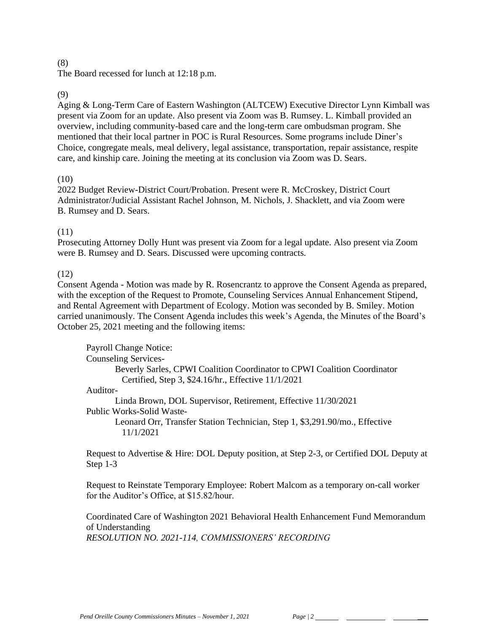### (8)

The Board recessed for lunch at 12:18 p.m.

## (9)

Aging & Long-Term Care of Eastern Washington (ALTCEW) Executive Director Lynn Kimball was present via Zoom for an update. Also present via Zoom was B. Rumsey. L. Kimball provided an overview, including community-based care and the long-term care ombudsman program. She mentioned that their local partner in POC is Rural Resources. Some programs include Diner's Choice, congregate meals, meal delivery, legal assistance, transportation, repair assistance, respite care, and kinship care. Joining the meeting at its conclusion via Zoom was D. Sears.

### (10)

2022 Budget Review-District Court/Probation. Present were R. McCroskey, District Court Administrator/Judicial Assistant Rachel Johnson, M. Nichols, J. Shacklett, and via Zoom were B. Rumsey and D. Sears.

### (11)

Prosecuting Attorney Dolly Hunt was present via Zoom for a legal update. Also present via Zoom were B. Rumsey and D. Sears. Discussed were upcoming contracts.

### (12)

Step 1-3

Consent Agenda - Motion was made by R. Rosencrantz to approve the Consent Agenda as prepared, with the exception of the Request to Promote, Counseling Services Annual Enhancement Stipend, and Rental Agreement with Department of Ecology. Motion was seconded by B. Smiley. Motion carried unanimously. The Consent Agenda includes this week's Agenda, the Minutes of the Board's October 25, 2021 meeting and the following items:

Payroll Change Notice: Counseling Services-Beverly Sarles, CPWI Coalition Coordinator to CPWI Coalition Coordinator Certified, Step 3, \$24.16/hr., Effective 11/1/2021 Auditor-Linda Brown, DOL Supervisor, Retirement, Effective 11/30/2021 Public Works-Solid Waste-Leonard Orr, Transfer Station Technician, Step 1, \$3,291.90/mo., Effective 11/1/2021 Request to Advertise & Hire: DOL Deputy position, at Step 2-3, or Certified DOL Deputy at

Request to Reinstate Temporary Employee: Robert Malcom as a temporary on-call worker for the Auditor's Office, at \$15.82/hour.

Coordinated Care of Washington 2021 Behavioral Health Enhancement Fund Memorandum of Understanding *RESOLUTION NO. 2021-114, COMMISSIONERS' RECORDING*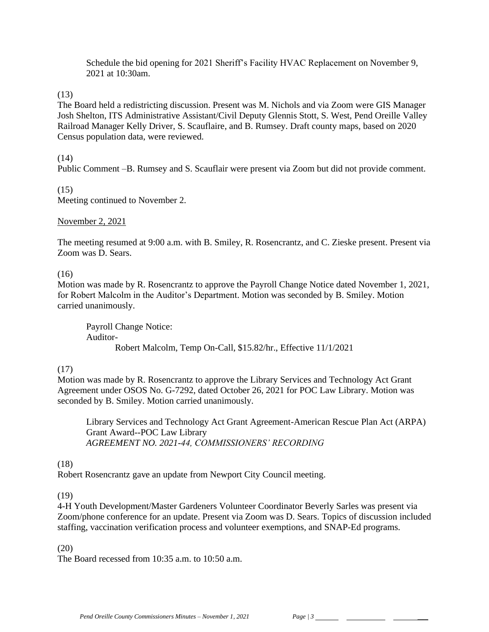Schedule the bid opening for 2021 Sheriff's Facility HVAC Replacement on November 9, 2021 at 10:30am.

(13)

The Board held a redistricting discussion. Present was M. Nichols and via Zoom were GIS Manager Josh Shelton, ITS Administrative Assistant/Civil Deputy Glennis Stott, S. West, Pend Oreille Valley Railroad Manager Kelly Driver, S. Scauflaire, and B. Rumsey. Draft county maps, based on 2020 Census population data, were reviewed.

# (14)

Public Comment –B. Rumsey and S. Scauflair were present via Zoom but did not provide comment.

# (15)

Meeting continued to November 2.

# November 2, 2021

The meeting resumed at 9:00 a.m. with B. Smiley, R. Rosencrantz, and C. Zieske present. Present via Zoom was D. Sears.

# (16)

Motion was made by R. Rosencrantz to approve the Payroll Change Notice dated November 1, 2021, for Robert Malcolm in the Auditor's Department. Motion was seconded by B. Smiley. Motion carried unanimously.

Payroll Change Notice: Auditor-Robert Malcolm, Temp On-Call, \$15.82/hr., Effective 11/1/2021

# (17)

Motion was made by R. Rosencrantz to approve the Library Services and Technology Act Grant Agreement under OSOS No. G-7292, dated October 26, 2021 for POC Law Library. Motion was seconded by B. Smiley. Motion carried unanimously.

Library Services and Technology Act Grant Agreement-American Rescue Plan Act (ARPA) Grant Award--POC Law Library *AGREEMENT NO. 2021-44, COMMISSIONERS' RECORDING*

# (18)

Robert Rosencrantz gave an update from Newport City Council meeting.

# (19)

4-H Youth Development/Master Gardeners Volunteer Coordinator Beverly Sarles was present via Zoom/phone conference for an update. Present via Zoom was D. Sears. Topics of discussion included staffing, vaccination verification process and volunteer exemptions, and SNAP-Ed programs.

# (20)

The Board recessed from 10:35 a.m. to 10:50 a.m.